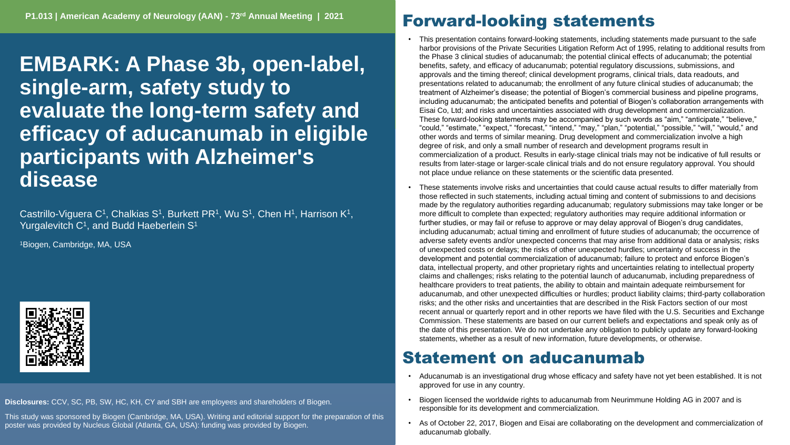# **EMBARK: A Phase 3b, open-label, single-arm, safety study to evaluate the long-term safety and efficacy of aducanumab in eligible participants with Alzheimer's disease**

Castrillo-Viguera C<sup>1</sup>, Chalkias S<sup>1</sup>, Burkett PR<sup>1</sup>, Wu S<sup>1</sup>, Chen H<sup>1</sup>, Harrison K<sup>1</sup>, Yurgalevitch C<sup>1</sup>, and Budd Haeberlein S<sup>1</sup>

<sup>1</sup>Biogen, Cambridge, MA, USA



**Disclosures:** CCV, SC, PB, SW, HC, KH, CY and SBH are employees and shareholders of Biogen.

This study was sponsored by Biogen (Cambridge, MA, USA). Writing and editorial support for the preparation of this poster was provided by Nucleus Global (Atlanta, GA, USA): funding was provided by Biogen.

#### Forward-looking statements

- This presentation contains forward-looking statements, including statements made pursuant to the safe harbor provisions of the Private Securities Litigation Reform Act of 1995, relating to additional results from the Phase 3 clinical studies of aducanumab; the potential clinical effects of aducanumab; the potential benefits, safety, and efficacy of aducanumab; potential regulatory discussions, submissions, and approvals and the timing thereof; clinical development programs, clinical trials, data readouts, and presentations related to aducanumab; the enrollment of any future clinical studies of aducanumab; the treatment of Alzheimer's disease; the potential of Biogen's commercial business and pipeline programs, including aducanumab; the anticipated benefits and potential of Biogen's collaboration arrangements with Eisai Co, Ltd; and risks and uncertainties associated with drug development and commercialization. These forward-looking statements may be accompanied by such words as "aim," "anticipate," "believe," "could," "estimate," "expect," "forecast," "intend," "may," "plan," "potential," "possible," "will," "would," and other words and terms of similar meaning. Drug development and commercialization involve a high degree of risk, and only a small number of research and development programs result in commercialization of a product. Results in early-stage clinical trials may not be indicative of full results or results from later-stage or larger-scale clinical trials and do not ensure regulatory approval. You should not place undue reliance on these statements or the scientific data presented.
- These statements involve risks and uncertainties that could cause actual results to differ materially from those reflected in such statements, including actual timing and content of submissions to and decisions made by the regulatory authorities regarding aducanumab; regulatory submissions may take longer or be more difficult to complete than expected; regulatory authorities may require additional information or further studies, or may fail or refuse to approve or may delay approval of Biogen's drug candidates, including aducanumab; actual timing and enrollment of future studies of aducanumab; the occurrence of adverse safety events and/or unexpected concerns that may arise from additional data or analysis; risks of unexpected costs or delays; the risks of other unexpected hurdles; uncertainty of success in the development and potential commercialization of aducanumab; failure to protect and enforce Biogen's data, intellectual property, and other proprietary rights and uncertainties relating to intellectual property claims and challenges; risks relating to the potential launch of aducanumab, including preparedness of healthcare providers to treat patients, the ability to obtain and maintain adequate reimbursement for aducanumab, and other unexpected difficulties or hurdles; product liability claims; third-party collaboration risks; and the other risks and uncertainties that are described in the Risk Factors section of our most recent annual or quarterly report and in other reports we have filed with the U.S. Securities and Exchange Commission. These statements are based on our current beliefs and expectations and speak only as of the date of this presentation. We do not undertake any obligation to publicly update any forward-looking statements, whether as a result of new information, future developments, or otherwise.

### Statement on aducanumab

- Aducanumab is an investigational drug whose efficacy and safety have not yet been established. It is not approved for use in any country.
- Biogen licensed the worldwide rights to aducanumab from Neurimmune Holding AG in 2007 and is responsible for its development and commercialization.
- As of October 22, 2017, Biogen and Eisai are collaborating on the development and commercialization of aducanumab globally.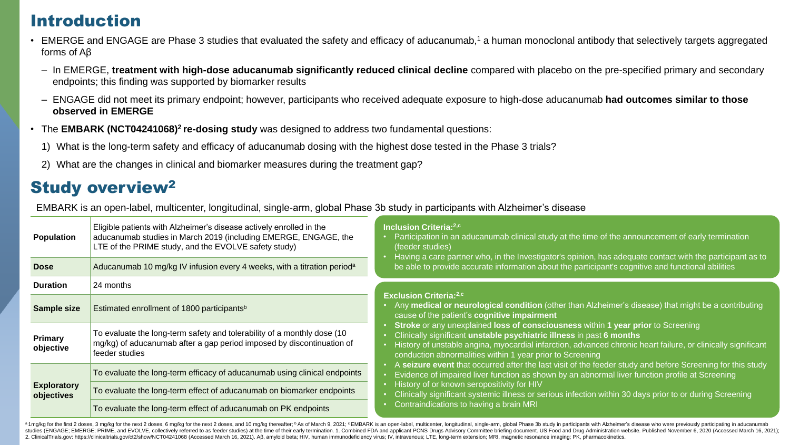## Introduction

- EMERGE and ENGAGE are Phase 3 studies that evaluated the safety and efficacy of aducanumab,<sup>1</sup> a human monoclonal antibody that selectively targets aggregated forms of Aβ
	- In EMERGE, **treatment with high-dose aducanumab significantly reduced clinical decline** compared with placebo on the pre-specified primary and secondary endpoints; this finding was supported by biomarker results
	- ENGAGE did not meet its primary endpoint; however, participants who received adequate exposure to high-dose aducanumab **had outcomes similar to those observed in EMERGE**
- The **EMBARK (NCT04241068)<sup>2</sup>re-dosing study** was designed to address two fundamental questions:
	- 1) What is the long-term safety and efficacy of aducanumab dosing with the highest dose tested in the Phase 3 trials?
	- 2) What are the changes in clinical and biomarker measures during the treatment gap?

# Study overview<sup>2</sup>

EMBARK is an open-label, multicenter, longitudinal, single-arm, global Phase 3b study in participants with Alzheimer's disease

| Population                       | Eligible patients with Alzheimer's disease actively enrolled in the<br>aducanumab studies in March 2019 (including EMERGE, ENGAGE, the<br>LTE of the PRIME study, and the EVOLVE safety study) | <b>Inclusion Criteria:</b> <sup>2,c</sup><br>• Participation in an aducanumab clinical study at the time of the announcement of early termination<br>(feeder studies)<br>Having a care partner who, in the Investigator's opinion, has adequate contact with the participant as to<br>be able to provide accurate information about the participant's cognitive and functional abilities                                                                                                                                                                                                                                                                                                                                                                                                                                                                                                                                                                           |  |
|----------------------------------|------------------------------------------------------------------------------------------------------------------------------------------------------------------------------------------------|--------------------------------------------------------------------------------------------------------------------------------------------------------------------------------------------------------------------------------------------------------------------------------------------------------------------------------------------------------------------------------------------------------------------------------------------------------------------------------------------------------------------------------------------------------------------------------------------------------------------------------------------------------------------------------------------------------------------------------------------------------------------------------------------------------------------------------------------------------------------------------------------------------------------------------------------------------------------|--|
| <b>Dose</b>                      | Aducanumab 10 mg/kg IV infusion every 4 weeks, with a titration period <sup>a</sup>                                                                                                            |                                                                                                                                                                                                                                                                                                                                                                                                                                                                                                                                                                                                                                                                                                                                                                                                                                                                                                                                                                    |  |
| <b>Duration</b>                  | 24 months                                                                                                                                                                                      |                                                                                                                                                                                                                                                                                                                                                                                                                                                                                                                                                                                                                                                                                                                                                                                                                                                                                                                                                                    |  |
| <b>Sample size</b>               | Estimated enrollment of 1800 participants <sup>b</sup>                                                                                                                                         | <b>Exclusion Criteria:</b> <sup>2,c</sup><br>Any medical or neurological condition (other than Alzheimer's disease) that might be a contributing<br>cause of the patient's cognitive impairment<br>Stroke or any unexplained loss of consciousness within 1 year prior to Screening<br>Clinically significant unstable psychiatric illness in past 6 months<br>• History of unstable angina, myocardial infarction, advanced chronic heart failure, or clinically significant<br>conduction abnormalities within 1 year prior to Screening<br>A seizure event that occurred after the last visit of the feeder study and before Screening for this study<br>Evidence of impaired liver function as shown by an abnormal liver function profile at Screening<br>• History of or known seropositivity for HIV<br>Clinically significant systemic illness or serious infection within 30 days prior to or during Screening<br>Contraindications to having a brain MRI |  |
| Primary<br>objective             | To evaluate the long-term safety and tolerability of a monthly dose (10<br>mg/kg) of aducanumab after a gap period imposed by discontinuation of<br>feeder studies                             |                                                                                                                                                                                                                                                                                                                                                                                                                                                                                                                                                                                                                                                                                                                                                                                                                                                                                                                                                                    |  |
| <b>Exploratory</b><br>objectives | To evaluate the long-term efficacy of aducanumab using clinical endpoints                                                                                                                      |                                                                                                                                                                                                                                                                                                                                                                                                                                                                                                                                                                                                                                                                                                                                                                                                                                                                                                                                                                    |  |
|                                  | To evaluate the long-term effect of aducanumab on biomarker endpoints                                                                                                                          |                                                                                                                                                                                                                                                                                                                                                                                                                                                                                                                                                                                                                                                                                                                                                                                                                                                                                                                                                                    |  |
|                                  | To evaluate the long-term effect of aducanumab on PK endpoints                                                                                                                                 |                                                                                                                                                                                                                                                                                                                                                                                                                                                                                                                                                                                                                                                                                                                                                                                                                                                                                                                                                                    |  |

a 1mg/kg for the first 2 doses, 3 mg/kg for the next 2 doses, 6 mg/kg for the next 2 doses, and 10 mg/kg thereafter; b As of March 9, 2021; ° EMBARK is an open-label, multicenter, longitudinal, single-arm, global Phase 3b studies (ENGAGE; EMERGE; PRIME, and EVOLVE, collectively referred to as feeder studies) at the time of their early termination. 1. Combined FDA and applicant PCNS Drugs Advisory Committee briefing document. US Food and Dru 2. ClinicalTrials.gov: https://clinicaltrials.gov/ct2/show/NCT04241068 (Accessed March 16, 2021). AB, amyloid beta; HIV, human immunodeficiency virus; IV, intravenous; LTE, long-term extension; MRI, magnetic resonance imag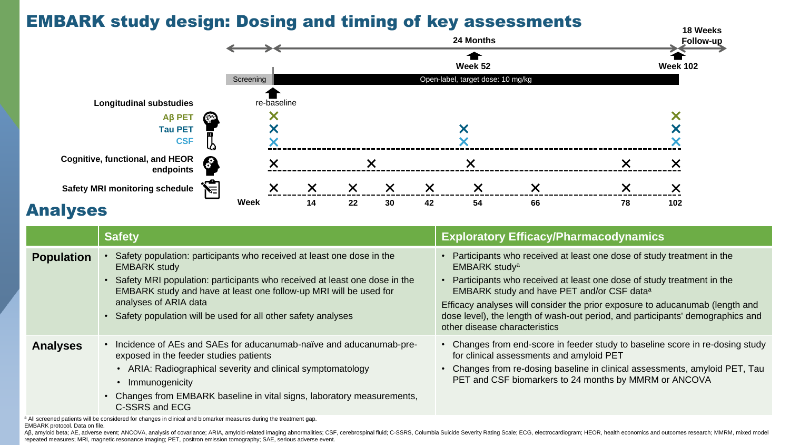#### EMBARK study design: Dosing and timing of key assessments



#### Analyses

|                   | <b>Safety</b>                                                                                                                                                                                                                                                                                                                               | <b>Exploratory Efficacy/Pharmacodynamics</b>                                                                                                                                                                                                                                                                                                                                                                                             |
|-------------------|---------------------------------------------------------------------------------------------------------------------------------------------------------------------------------------------------------------------------------------------------------------------------------------------------------------------------------------------|------------------------------------------------------------------------------------------------------------------------------------------------------------------------------------------------------------------------------------------------------------------------------------------------------------------------------------------------------------------------------------------------------------------------------------------|
| <b>Population</b> | Safety population: participants who received at least one dose in the<br><b>EMBARK study</b><br>• Safety MRI population: participants who received at least one dose in the<br>EMBARK study and have at least one follow-up MRI will be used for<br>analyses of ARIA data<br>• Safety population will be used for all other safety analyses | Participants who received at least one dose of study treatment in the<br>EMBARK study <sup>a</sup><br>Participants who received at least one dose of study treatment in the<br>EMBARK study and have PET and/or CSF data <sup>a</sup><br>Efficacy analyses will consider the prior exposure to aducanumab (length and<br>dose level), the length of wash-out period, and participants' demographics and<br>other disease characteristics |
| <b>Analyses</b>   | Incidence of AEs and SAEs for aducanumab-naïve and aducanumab-pre-<br>exposed in the feeder studies patients<br>• ARIA: Radiographical severity and clinical symptomatology<br>• Immunogenicity<br>Changes from EMBARK baseline in vital signs, laboratory measurements,<br>C-SSRS and ECG                                                  | • Changes from end-score in feeder study to baseline score in re-dosing study<br>for clinical assessments and amyloid PET<br>• Changes from re-dosing baseline in clinical assessments, amyloid PET, Tau<br>PET and CSF biomarkers to 24 months by MMRM or ANCOVA                                                                                                                                                                        |

a All screened patients will be considered for changes in clinical and biomarker measures during the treatment gap. EMBARK protocol. Data on file.

Aß, amyloid beta; AE, adverse event; ANCOVA, analysis of covariance; ARIA, amyloid-related imaging abnormalities; CSF, cerebrospinal fluid; C-SSRS, Columbia Suicide Severity Rating Scale; ECG, electrocardiogram; HEOR, heal repeated measures; MRI, magnetic resonance imaging; PET, positron emission tomography; SAE, serious adverse event.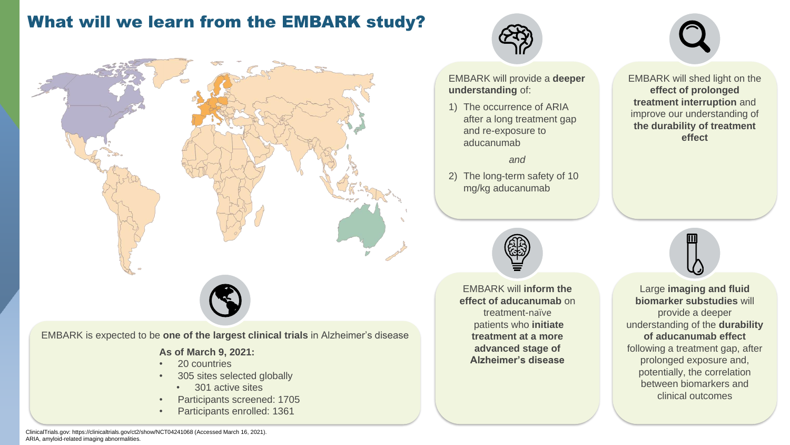### What will we learn from the EMBARK study?



EMBARK will provide a **deeper understanding** of:

1) The occurrence of ARIA after a long treatment gap and re-exposure to aducanumab

*and*

2) The long-term safety of 10 mg/kg aducanumab



EMBARK will **inform the effect of aducanumab** on treatment-naïve patients who **initiate treatment at a more advanced stage of Alzheimer's disease**

EMBARK will shed light on the **effect of prolonged treatment interruption** and improve our understanding of **the durability of treatment effect**



Large **imaging and fluid biomarker substudies** will provide a deeper understanding of the **durability of aducanumab effect**  following a treatment gap, after prolonged exposure and, potentially, the correlation between biomarkers and clinical outcomes

EMBARK is expected to be **one of the largest clinical trials** in Alzheimer's disease

#### **As of March 9, 2021:**

- 20 countries
- 305 sites selected globally
	- 301 active sites
- Participants screened: 1705
- Participants enrolled: 1361

ClinicalTrials.gov: https://clinicaltrials.gov/ct2/show/NCT04241068 (Accessed March 16, 2021). ARIA, amyloid-related imaging abnormalities.